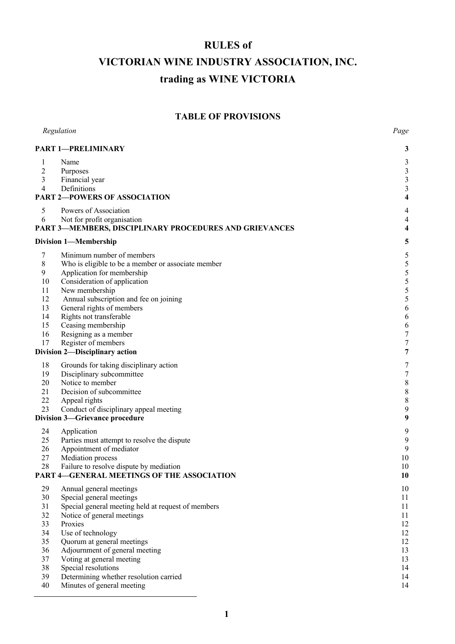# **RULES of VICTORIAN WINE INDUSTRY ASSOCIATION, INC. trading as WINE VICTORIA**

# **TABLE OF PROVISIONS**

| Regulation     |                                                               | Page                    |
|----------------|---------------------------------------------------------------|-------------------------|
|                | <b>PART 1-PRELIMINARY</b>                                     |                         |
| 1              | Name                                                          | 3                       |
| $\overline{2}$ | Purposes                                                      | $\mathfrak{Z}$          |
| 3              | Financial year                                                | 3                       |
| 4              | Definitions                                                   | $\mathfrak{Z}$          |
|                | <b>PART 2-POWERS OF ASSOCIATION</b>                           | $\overline{\mathbf{4}}$ |
| 5              | Powers of Association                                         | 4                       |
| 6              | Not for profit organisation                                   | $\overline{4}$          |
|                | <b>PART 3-MEMBERS, DISCIPLINARY PROCEDURES AND GRIEVANCES</b> | 4                       |
|                | <b>Division 1-Membership</b>                                  | 5                       |
| 7              | Minimum number of members                                     | 5                       |
| 8              | Who is eligible to be a member or associate member            | 5                       |
| 9              | Application for membership                                    | 5                       |
| 10             | Consideration of application                                  | 5                       |
| 11             | New membership                                                | 5                       |
| 12             | Annual subscription and fee on joining                        | 5                       |
| 13<br>14       | General rights of members                                     | 6                       |
| 15             | Rights not transferable<br>Ceasing membership                 | 6<br>6                  |
| 16             | Resigning as a member                                         | $\overline{7}$          |
| 17             | Register of members                                           | $\boldsymbol{7}$        |
|                | Division 2-Disciplinary action                                | 7                       |
| 18             | Grounds for taking disciplinary action                        | 7                       |
| 19             | Disciplinary subcommittee                                     | $\boldsymbol{7}$        |
| 20             | Notice to member                                              | $\,$ 8 $\,$             |
| 21             | Decision of subcommittee                                      | $\,$ 8 $\,$             |
| 22             | Appeal rights                                                 | $\,$ $\,$               |
| 23             | Conduct of disciplinary appeal meeting                        | 9                       |
|                | <b>Division 3-Grievance procedure</b>                         | $\boldsymbol{9}$        |
| 24             | Application                                                   | 9                       |
| 25             | Parties must attempt to resolve the dispute                   | 9                       |
| 26             | Appointment of mediator                                       | 9                       |
| 27             | Mediation process                                             | 10                      |
| 28             | Failure to resolve dispute by mediation                       | 10                      |
|                | PART 4-GENERAL MEETINGS OF THE ASSOCIATION                    | 10                      |
| 29             | Annual general meetings                                       | 10                      |
| 30             | Special general meetings                                      | 11                      |
| 31             | Special general meeting held at request of members            | 11                      |
| 32<br>33       | Notice of general meetings<br>Proxies                         | 11<br>12                |
| 34             | Use of technology                                             | 12                      |
| 35             | Quorum at general meetings                                    | 12                      |
| 36             | Adjournment of general meeting                                | 13                      |
| 37             | Voting at general meeting                                     | 13                      |
| 38             | Special resolutions                                           | 14                      |
| 39             | Determining whether resolution carried                        | 14                      |
| 40             | Minutes of general meeting                                    | 14                      |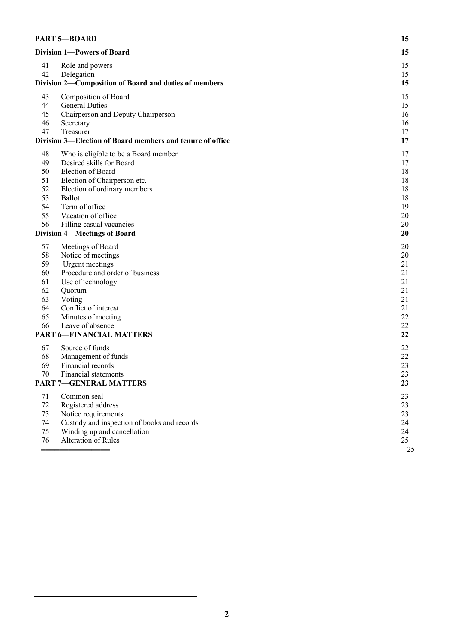| <b>PART 5-BOARD</b><br><b>Division 1-Powers of Board</b> |                                                                                                                                                                                                                                                                            | 15                                                             |
|----------------------------------------------------------|----------------------------------------------------------------------------------------------------------------------------------------------------------------------------------------------------------------------------------------------------------------------------|----------------------------------------------------------------|
|                                                          |                                                                                                                                                                                                                                                                            | 15                                                             |
| 41<br>42                                                 | Role and powers<br>Delegation<br>Division 2-Composition of Board and duties of members                                                                                                                                                                                     | 15<br>15<br>15                                                 |
| 43<br>44<br>45<br>46<br>47                               | <b>Composition of Board</b><br><b>General Duties</b><br>Chairperson and Deputy Chairperson<br>Secretary<br>Treasurer<br>Division 3-Election of Board members and tenure of office                                                                                          | 15<br>15<br>16<br>16<br>17<br>17                               |
| 48<br>49<br>50<br>51<br>52<br>53<br>54<br>55<br>56       | Who is eligible to be a Board member<br>Desired skills for Board<br>Election of Board<br>Election of Chairperson etc.<br>Election of ordinary members<br>Ballot<br>Term of office<br>Vacation of office<br>Filling casual vacancies<br><b>Division 4-Meetings of Board</b> | 17<br>17<br>18<br>18<br>18<br>18<br>19<br>20<br>20<br>20       |
| 57<br>58<br>59<br>60<br>61<br>62<br>63<br>64<br>65<br>66 | Meetings of Board<br>Notice of meetings<br>Urgent meetings<br>Procedure and order of business<br>Use of technology<br>Quorum<br>Voting<br>Conflict of interest<br>Minutes of meeting<br>Leave of absence<br><b>PART 6-FINANCIAL MATTERS</b>                                | 20<br>20<br>21<br>21<br>21<br>21<br>21<br>21<br>22<br>22<br>22 |
| 67<br>68<br>69<br>70                                     | Source of funds<br>Management of funds<br>Financial records<br>Financial statements<br><b>PART 7-GENERAL MATTERS</b>                                                                                                                                                       | 22<br>22<br>23<br>23<br>23                                     |
| 71<br>$72\,$<br>73<br>74<br>75<br>76                     | Common seal<br>Registered address<br>Notice requirements<br>Custody and inspection of books and records<br>Winding up and cancellation<br>Alteration of Rules                                                                                                              | 23<br>23<br>23<br>24<br>24<br>25<br>25                         |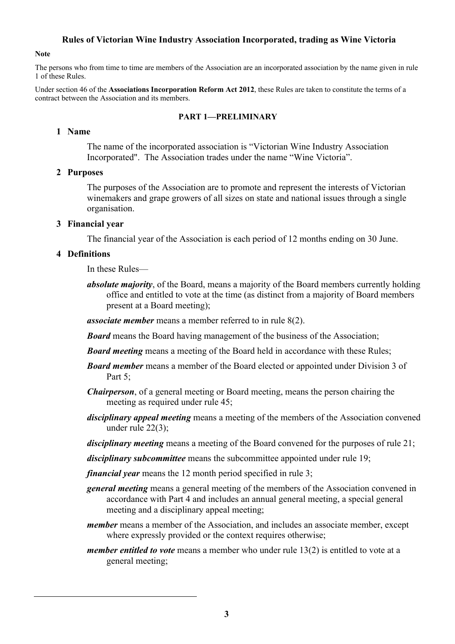### **Rules of Victorian Wine Industry Association Incorporated, trading as Wine Victoria**

#### **Note**

The persons who from time to time are members of the Association are an incorporated association by the name given in rule 1 of these Rules.

Under section 46 of the **Associations Incorporation Reform Act 2012**, these Rules are taken to constitute the terms of a contract between the Association and its members.

#### **PART 1—PRELIMINARY**

#### **1 Name**

The name of the incorporated association is "Victorian Wine Industry Association Incorporated". The Association trades under the name "Wine Victoria".

#### **2 Purposes**

The purposes of the Association are to promote and represent the interests of Victorian winemakers and grape growers of all sizes on state and national issues through a single organisation.

#### **3 Financial year**

The financial year of the Association is each period of 12 months ending on 30 June.

#### **4 Definitions**

In these Rules—

*absolute majority*, of the Board, means a majority of the Board members currently holding office and entitled to vote at the time (as distinct from a majority of Board members present at a Board meeting);

*associate member* means a member referred to in rule 8(2).

*Board* means the Board having management of the business of the Association;

- **Board meeting** means a meeting of the Board held in accordance with these Rules;
- *Board member* means a member of the Board elected or appointed under Division 3 of Part 5;
- *Chairperson*, of a general meeting or Board meeting, means the person chairing the meeting as required under rule 45;
- *disciplinary appeal meeting* means a meeting of the members of the Association convened under rule 22(3);
- *disciplinary meeting* means a meeting of the Board convened for the purposes of rule 21;

*disciplinary subcommittee* means the subcommittee appointed under rule 19;

*financial year* means the 12 month period specified in rule 3;

- *general meeting* means a general meeting of the members of the Association convened in accordance with Part 4 and includes an annual general meeting, a special general meeting and a disciplinary appeal meeting;
- *member* means a member of the Association, and includes an associate member, except where expressly provided or the context requires otherwise;
- *member entitled to vote* means a member who under rule 13(2) is entitled to vote at a general meeting;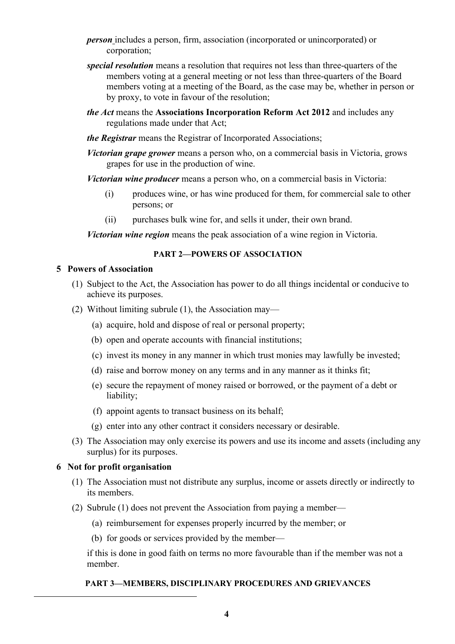- *person* includes a person, firm, association (incorporated or unincorporated) or corporation;
- *special resolution* means a resolution that requires not less than three-quarters of the members voting at a general meeting or not less than three-quarters of the Board members voting at a meeting of the Board, as the case may be, whether in person or by proxy, to vote in favour of the resolution;
- *the Act* means the **Associations Incorporation Reform Act 2012** and includes any regulations made under that Act;
- *the Registrar* means the Registrar of Incorporated Associations;
- *Victorian grape grower* means a person who, on a commercial basis in Victoria, grows grapes for use in the production of wine.

*Victorian wine producer* means a person who, on a commercial basis in Victoria:

- (i) produces wine, or has wine produced for them, for commercial sale to other persons; or
- (ii) purchases bulk wine for, and sells it under, their own brand.

*Victorian wine region* means the peak association of a wine region in Victoria.

#### **PART 2—POWERS OF ASSOCIATION**

#### **5 Powers of Association**

- (1) Subject to the Act, the Association has power to do all things incidental or conducive to achieve its purposes.
- (2) Without limiting subrule (1), the Association may—
	- (a) acquire, hold and dispose of real or personal property;
	- (b) open and operate accounts with financial institutions;
	- (c) invest its money in any manner in which trust monies may lawfully be invested;
	- (d) raise and borrow money on any terms and in any manner as it thinks fit;
	- (e) secure the repayment of money raised or borrowed, or the payment of a debt or liability;
	- (f) appoint agents to transact business on its behalf;
	- (g) enter into any other contract it considers necessary or desirable.
- (3) The Association may only exercise its powers and use its income and assets (including any surplus) for its purposes.

### **6 Not for profit organisation**

- (1) The Association must not distribute any surplus, income or assets directly or indirectly to its members.
- (2) Subrule (1) does not prevent the Association from paying a member—
	- (a) reimbursement for expenses properly incurred by the member; or
	- (b) for goods or services provided by the member—

if this is done in good faith on terms no more favourable than if the member was not a member.

### **PART 3—MEMBERS, DISCIPLINARY PROCEDURES AND GRIEVANCES**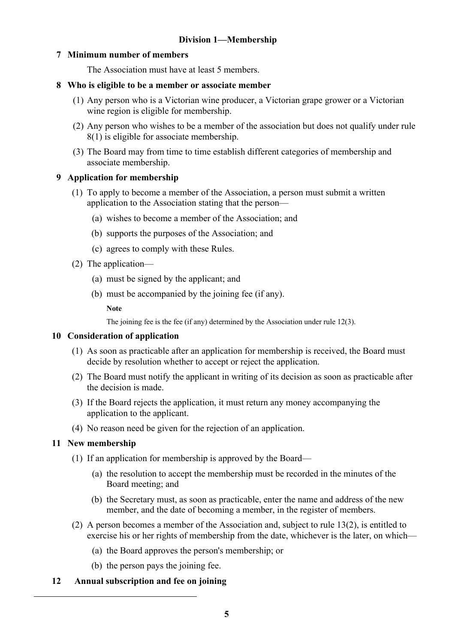# **7 Minimum number of members**

The Association must have at least 5 members.

### **8 Who is eligible to be a member or associate member**

- (1) Any person who is a Victorian wine producer, a Victorian grape grower or a Victorian wine region is eligible for membership.
- (2) Any person who wishes to be a member of the association but does not qualify under rule 8(1) is eligible for associate membership.
- (3) The Board may from time to time establish different categories of membership and associate membership.

# **9 Application for membership**

- (1) To apply to become a member of the Association, a person must submit a written application to the Association stating that the person—
	- (a) wishes to become a member of the Association; and
	- (b) supports the purposes of the Association; and
	- (c) agrees to comply with these Rules.
- (2) The application—
	- (a) must be signed by the applicant; and
	- (b) must be accompanied by the joining fee (if any).

**Note**

The joining fee is the fee (if any) determined by the Association under rule 12(3).

### **10 Consideration of application**

- (1) As soon as practicable after an application for membership is received, the Board must decide by resolution whether to accept or reject the application.
- (2) The Board must notify the applicant in writing of its decision as soon as practicable after the decision is made.
- (3) If the Board rejects the application, it must return any money accompanying the application to the applicant.
- (4) No reason need be given for the rejection of an application.

# **11 New membership**

- (1) If an application for membership is approved by the Board—
	- (a) the resolution to accept the membership must be recorded in the minutes of the Board meeting; and
	- (b) the Secretary must, as soon as practicable, enter the name and address of the new member, and the date of becoming a member, in the register of members.
- (2) A person becomes a member of the Association and, subject to rule 13(2), is entitled to exercise his or her rights of membership from the date, whichever is the later, on which—
	- (a) the Board approves the person's membership; or
	- (b) the person pays the joining fee.
- **12 Annual subscription and fee on joining**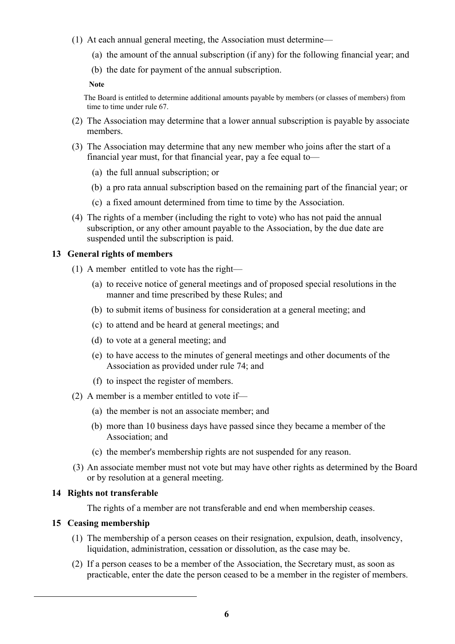- (1) At each annual general meeting, the Association must determine—
	- (a) the amount of the annual subscription (if any) for the following financial year; and
	- (b) the date for payment of the annual subscription.

The Board is entitled to determine additional amounts payable by members (or classes of members) from time to time under rule 67.

- (2) The Association may determine that a lower annual subscription is payable by associate members.
- (3) The Association may determine that any new member who joins after the start of a financial year must, for that financial year, pay a fee equal to—
	- (a) the full annual subscription; or
	- (b) a pro rata annual subscription based on the remaining part of the financial year; or
	- (c) a fixed amount determined from time to time by the Association.
- (4) The rights of a member (including the right to vote) who has not paid the annual subscription, or any other amount payable to the Association, by the due date are suspended until the subscription is paid.

# **13 General rights of members**

- (1) A member entitled to vote has the right—
	- (a) to receive notice of general meetings and of proposed special resolutions in the manner and time prescribed by these Rules; and
	- (b) to submit items of business for consideration at a general meeting; and
	- (c) to attend and be heard at general meetings; and
	- (d) to vote at a general meeting; and
	- (e) to have access to the minutes of general meetings and other documents of the Association as provided under rule 74; and
	- (f) to inspect the register of members.
- (2) A member is a member entitled to vote if—
	- (a) the member is not an associate member; and
	- (b) more than 10 business days have passed since they became a member of the Association; and
	- (c) the member's membership rights are not suspended for any reason.
- (3) An associate member must not vote but may have other rights as determined by the Board or by resolution at a general meeting.

# **14 Rights not transferable**

The rights of a member are not transferable and end when membership ceases.

# **15 Ceasing membership**

- (1) The membership of a person ceases on their resignation, expulsion, death, insolvency, liquidation, administration, cessation or dissolution, as the case may be.
- (2) If a person ceases to be a member of the Association, the Secretary must, as soon as practicable, enter the date the person ceased to be a member in the register of members.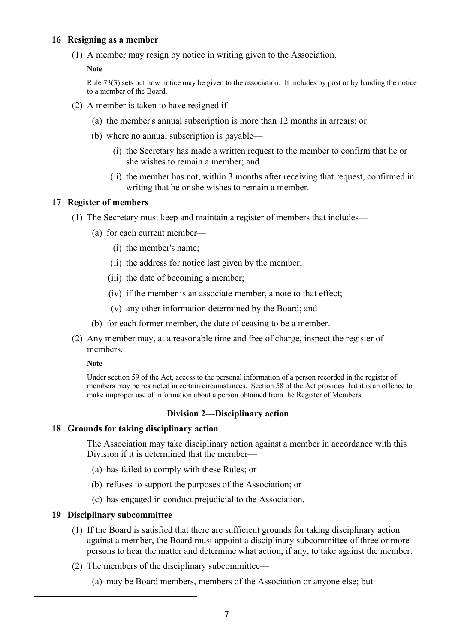### **16 Resigning as a member**

(1) A member may resign by notice in writing given to the Association.

**Note**

Rule 73(3) sets out how notice may be given to the association. It includes by post or by handing the notice to a member of the Board.

- (2) A member is taken to have resigned if—
	- (a) the member's annual subscription is more than 12 months in arrears; or
	- (b) where no annual subscription is payable—
		- (i) the Secretary has made a written request to the member to confirm that he or she wishes to remain a member; and
		- (ii) the member has not, within 3 months after receiving that request, confirmed in writing that he or she wishes to remain a member.

# **17 Register of members**

- (1) The Secretary must keep and maintain a register of members that includes—
	- (a) for each current member—
		- (i) the member's name;
		- (ii) the address for notice last given by the member;
		- (iii) the date of becoming a member;
		- (iv) if the member is an associate member, a note to that effect;
		- (v) any other information determined by the Board; and
	- (b) for each former member, the date of ceasing to be a member.
- (2) Any member may, at a reasonable time and free of charge, inspect the register of members.

### **Note**

Under section 59 of the Act, access to the personal information of a person recorded in the register of members may be restricted in certain circumstances. Section 58 of the Act provides that it is an offence to make improper use of information about a person obtained from the Register of Members.

# **Division 2—Disciplinary action**

### **18 Grounds for taking disciplinary action**

The Association may take disciplinary action against a member in accordance with this Division if it is determined that the member—

- (a) has failed to comply with these Rules; or
- (b) refuses to support the purposes of the Association; or
- (c) has engaged in conduct prejudicial to the Association.

# **19 Disciplinary subcommittee**

- (1) If the Board is satisfied that there are sufficient grounds for taking disciplinary action against a member, the Board must appoint a disciplinary subcommittee of three or more persons to hear the matter and determine what action, if any, to take against the member.
- (2) The members of the disciplinary subcommittee—
	- (a) may be Board members, members of the Association or anyone else; but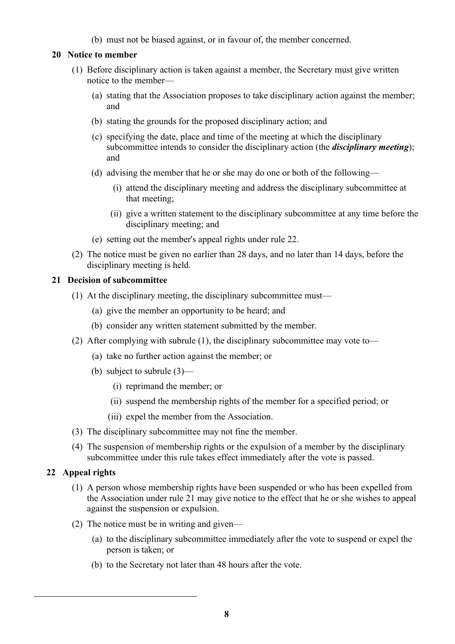(b) must not be biased against, or in favour of, the member concerned.

# **20 Notice to member**

- (1) Before disciplinary action is taken against a member, the Secretary must give written notice to the member—
	- (a) stating that the Association proposes to take disciplinary action against the member; and
	- (b) stating the grounds for the proposed disciplinary action; and
	- (c) specifying the date, place and time of the meeting at which the disciplinary subcommittee intends to consider the disciplinary action (the *disciplinary meeting*); and
	- (d) advising the member that he or she may do one or both of the following—
		- (i) attend the disciplinary meeting and address the disciplinary subcommittee at that meeting;
		- (ii) give a written statement to the disciplinary subcommittee at any time before the disciplinary meeting; and
	- (e) setting out the member's appeal rights under rule 22.
- (2) The notice must be given no earlier than 28 days, and no later than 14 days, before the disciplinary meeting is held.

## **21 Decision of subcommittee**

- (1) At the disciplinary meeting, the disciplinary subcommittee must—
	- (a) give the member an opportunity to be heard; and
	- (b) consider any written statement submitted by the member.
- (2) After complying with subrule (1), the disciplinary subcommittee may vote to—
	- (a) take no further action against the member; or
	- (b) subject to subrule (3)—
		- (i) reprimand the member; or
		- (ii) suspend the membership rights of the member for a specified period; or
		- (iii) expel the member from the Association.
- (3) The disciplinary subcommittee may not fine the member.
- (4) The suspension of membership rights or the expulsion of a member by the disciplinary subcommittee under this rule takes effect immediately after the vote is passed.

# **22 Appeal rights**

- (1) A person whose membership rights have been suspended or who has been expelled from the Association under rule 21 may give notice to the effect that he or she wishes to appeal against the suspension or expulsion.
- (2) The notice must be in writing and given—
	- (a) to the disciplinary subcommittee immediately after the vote to suspend or expel the person is taken; or
	- (b) to the Secretary not later than 48 hours after the vote.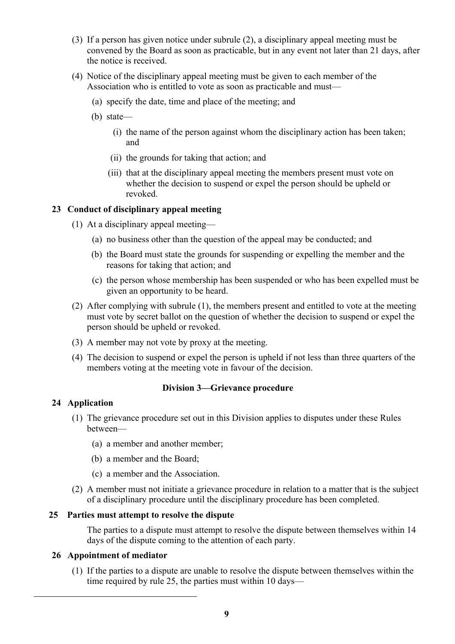- (3) If a person has given notice under subrule (2), a disciplinary appeal meeting must be convened by the Board as soon as practicable, but in any event not later than 21 days, after the notice is received.
- (4) Notice of the disciplinary appeal meeting must be given to each member of the Association who is entitled to vote as soon as practicable and must—
	- (a) specify the date, time and place of the meeting; and
	- (b) state—
		- (i) the name of the person against whom the disciplinary action has been taken; and
		- (ii) the grounds for taking that action; and
		- (iii) that at the disciplinary appeal meeting the members present must vote on whether the decision to suspend or expel the person should be upheld or revoked.

## **23 Conduct of disciplinary appeal meeting**

- (1) At a disciplinary appeal meeting—
	- (a) no business other than the question of the appeal may be conducted; and
	- (b) the Board must state the grounds for suspending or expelling the member and the reasons for taking that action; and
	- (c) the person whose membership has been suspended or who has been expelled must be given an opportunity to be heard.
- (2) After complying with subrule (1), the members present and entitled to vote at the meeting must vote by secret ballot on the question of whether the decision to suspend or expel the person should be upheld or revoked.
- (3) A member may not vote by proxy at the meeting.
- (4) The decision to suspend or expel the person is upheld if not less than three quarters of the members voting at the meeting vote in favour of the decision.

### **Division 3—Grievance procedure**

### **24 Application**

- (1) The grievance procedure set out in this Division applies to disputes under these Rules between—
	- (a) a member and another member;
	- (b) a member and the Board;
	- (c) a member and the Association.
- (2) A member must not initiate a grievance procedure in relation to a matter that is the subject of a disciplinary procedure until the disciplinary procedure has been completed.

### **25 Parties must attempt to resolve the dispute**

The parties to a dispute must attempt to resolve the dispute between themselves within 14 days of the dispute coming to the attention of each party.

### **26 Appointment of mediator**

(1) If the parties to a dispute are unable to resolve the dispute between themselves within the time required by rule 25, the parties must within 10 days—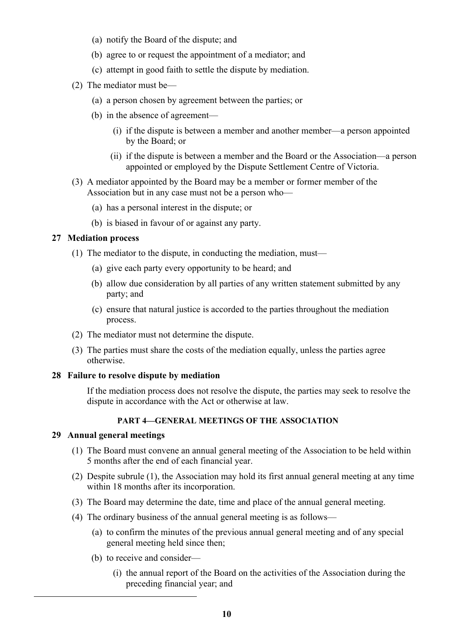- (a) notify the Board of the dispute; and
- (b) agree to or request the appointment of a mediator; and
- (c) attempt in good faith to settle the dispute by mediation.
- (2) The mediator must be—
	- (a) a person chosen by agreement between the parties; or
	- (b) in the absence of agreement—
		- (i) if the dispute is between a member and another member—a person appointed by the Board; or
		- (ii) if the dispute is between a member and the Board or the Association—a person appointed or employed by the Dispute Settlement Centre of Victoria.
- (3) A mediator appointed by the Board may be a member or former member of the Association but in any case must not be a person who—
	- (a) has a personal interest in the dispute; or
	- (b) is biased in favour of or against any party.

## **27 Mediation process**

- (1) The mediator to the dispute, in conducting the mediation, must—
	- (a) give each party every opportunity to be heard; and
	- (b) allow due consideration by all parties of any written statement submitted by any party; and
	- (c) ensure that natural justice is accorded to the parties throughout the mediation process.
- (2) The mediator must not determine the dispute.
- (3) The parties must share the costs of the mediation equally, unless the parties agree otherwise.

### **28 Failure to resolve dispute by mediation**

If the mediation process does not resolve the dispute, the parties may seek to resolve the dispute in accordance with the Act or otherwise at law.

# **PART 4—GENERAL MEETINGS OF THE ASSOCIATION**

### **29 Annual general meetings**

- (1) The Board must convene an annual general meeting of the Association to be held within 5 months after the end of each financial year.
- (2) Despite subrule (1), the Association may hold its first annual general meeting at any time within 18 months after its incorporation.
- (3) The Board may determine the date, time and place of the annual general meeting.
- (4) The ordinary business of the annual general meeting is as follows—
	- (a) to confirm the minutes of the previous annual general meeting and of any special general meeting held since then;
	- (b) to receive and consider—
		- (i) the annual report of the Board on the activities of the Association during the preceding financial year; and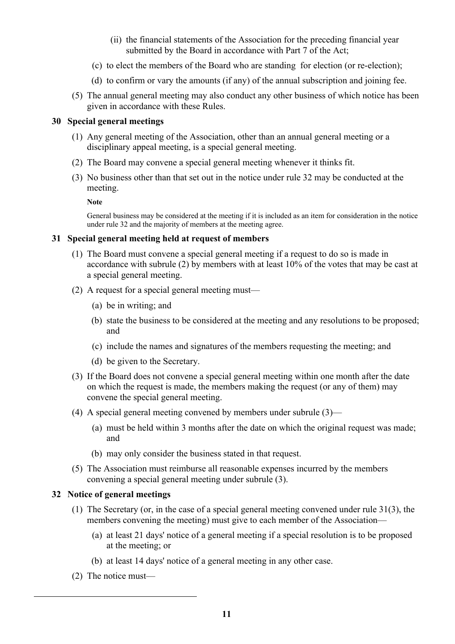- (ii) the financial statements of the Association for the preceding financial year submitted by the Board in accordance with Part 7 of the Act;
- (c) to elect the members of the Board who are standing for election (or re-election);
- (d) to confirm or vary the amounts (if any) of the annual subscription and joining fee.
- (5) The annual general meeting may also conduct any other business of which notice has been given in accordance with these Rules.

### **30 Special general meetings**

- (1) Any general meeting of the Association, other than an annual general meeting or a disciplinary appeal meeting, is a special general meeting.
- (2) The Board may convene a special general meeting whenever it thinks fit.
- (3) No business other than that set out in the notice under rule 32 may be conducted at the meeting.

**Note**

General business may be considered at the meeting if it is included as an item for consideration in the notice under rule 32 and the majority of members at the meeting agree.

## **31 Special general meeting held at request of members**

- (1) The Board must convene a special general meeting if a request to do so is made in accordance with subrule (2) by members with at least 10% of the votes that may be cast at a special general meeting.
- (2) A request for a special general meeting must—
	- (a) be in writing; and
	- (b) state the business to be considered at the meeting and any resolutions to be proposed; and
	- (c) include the names and signatures of the members requesting the meeting; and
	- (d) be given to the Secretary.
- (3) If the Board does not convene a special general meeting within one month after the date on which the request is made, the members making the request (or any of them) may convene the special general meeting.
- (4) A special general meeting convened by members under subrule (3)—
	- (a) must be held within 3 months after the date on which the original request was made; and
	- (b) may only consider the business stated in that request.
- (5) The Association must reimburse all reasonable expenses incurred by the members convening a special general meeting under subrule (3).

# **32 Notice of general meetings**

- (1) The Secretary (or, in the case of a special general meeting convened under rule 31(3), the members convening the meeting) must give to each member of the Association—
	- (a) at least 21 days' notice of a general meeting if a special resolution is to be proposed at the meeting; or
	- (b) at least 14 days' notice of a general meeting in any other case.
- (2) The notice must—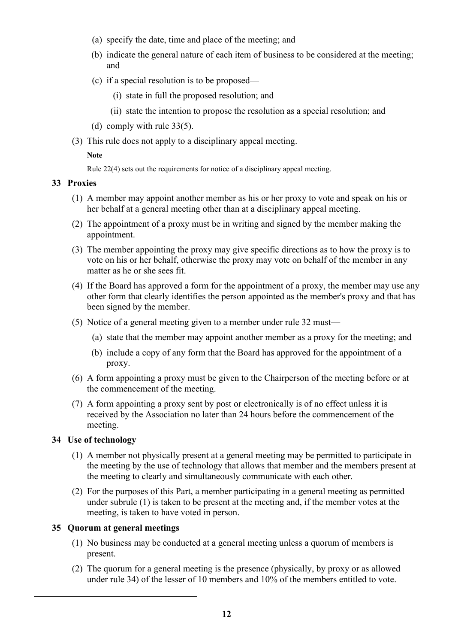- (a) specify the date, time and place of the meeting; and
- (b) indicate the general nature of each item of business to be considered at the meeting; and
- (c) if a special resolution is to be proposed—
	- (i) state in full the proposed resolution; and
	- (ii) state the intention to propose the resolution as a special resolution; and
- (d) comply with rule 33(5).
- (3) This rule does not apply to a disciplinary appeal meeting.

Rule 22(4) sets out the requirements for notice of a disciplinary appeal meeting.

### **33 Proxies**

- (1) A member may appoint another member as his or her proxy to vote and speak on his or her behalf at a general meeting other than at a disciplinary appeal meeting.
- (2) The appointment of a proxy must be in writing and signed by the member making the appointment.
- (3) The member appointing the proxy may give specific directions as to how the proxy is to vote on his or her behalf, otherwise the proxy may vote on behalf of the member in any matter as he or she sees fit.
- (4) If the Board has approved a form for the appointment of a proxy, the member may use any other form that clearly identifies the person appointed as the member's proxy and that has been signed by the member.
- (5) Notice of a general meeting given to a member under rule 32 must—
	- (a) state that the member may appoint another member as a proxy for the meeting; and
	- (b) include a copy of any form that the Board has approved for the appointment of a proxy.
- (6) A form appointing a proxy must be given to the Chairperson of the meeting before or at the commencement of the meeting.
- (7) A form appointing a proxy sent by post or electronically is of no effect unless it is received by the Association no later than 24 hours before the commencement of the meeting.

# **34 Use of technology**

- (1) A member not physically present at a general meeting may be permitted to participate in the meeting by the use of technology that allows that member and the members present at the meeting to clearly and simultaneously communicate with each other.
- (2) For the purposes of this Part, a member participating in a general meeting as permitted under subrule (1) is taken to be present at the meeting and, if the member votes at the meeting, is taken to have voted in person.

# **35 Quorum at general meetings**

- (1) No business may be conducted at a general meeting unless a quorum of members is present.
- (2) The quorum for a general meeting is the presence (physically, by proxy or as allowed under rule 34) of the lesser of 10 members and 10% of the members entitled to vote.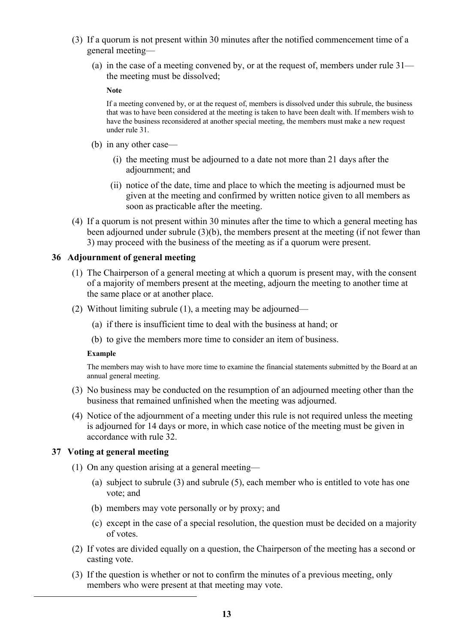- (3) If a quorum is not present within 30 minutes after the notified commencement time of a general meeting—
	- (a) in the case of a meeting convened by, or at the request of, members under rule 31 the meeting must be dissolved;

If a meeting convened by, or at the request of, members is dissolved under this subrule, the business that was to have been considered at the meeting is taken to have been dealt with. If members wish to have the business reconsidered at another special meeting, the members must make a new request under rule 31.

- (b) in any other case—
	- (i) the meeting must be adjourned to a date not more than 21 days after the adjournment; and
	- (ii) notice of the date, time and place to which the meeting is adjourned must be given at the meeting and confirmed by written notice given to all members as soon as practicable after the meeting.
- (4) If a quorum is not present within 30 minutes after the time to which a general meeting has been adjourned under subrule (3)(b), the members present at the meeting (if not fewer than 3) may proceed with the business of the meeting as if a quorum were present.

### **36 Adjournment of general meeting**

- (1) The Chairperson of a general meeting at which a quorum is present may, with the consent of a majority of members present at the meeting, adjourn the meeting to another time at the same place or at another place.
- (2) Without limiting subrule (1), a meeting may be adjourned—
	- (a) if there is insufficient time to deal with the business at hand; or
	- (b) to give the members more time to consider an item of business.

#### **Example**

The members may wish to have more time to examine the financial statements submitted by the Board at an annual general meeting.

- (3) No business may be conducted on the resumption of an adjourned meeting other than the business that remained unfinished when the meeting was adjourned.
- (4) Notice of the adjournment of a meeting under this rule is not required unless the meeting is adjourned for 14 days or more, in which case notice of the meeting must be given in accordance with rule 32.

#### **37 Voting at general meeting**

- (1) On any question arising at a general meeting—
	- (a) subject to subrule (3) and subrule (5), each member who is entitled to vote has one vote; and
	- (b) members may vote personally or by proxy; and
	- (c) except in the case of a special resolution, the question must be decided on a majority of votes.
- (2) If votes are divided equally on a question, the Chairperson of the meeting has a second or casting vote.
- (3) If the question is whether or not to confirm the minutes of a previous meeting, only members who were present at that meeting may vote.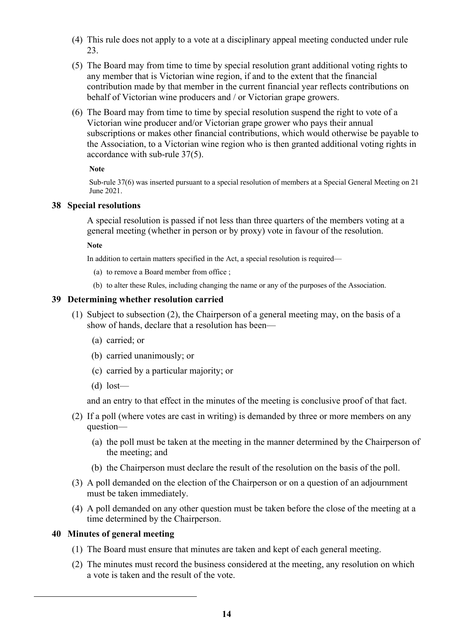- (4) This rule does not apply to a vote at a disciplinary appeal meeting conducted under rule 23.
- (5) The Board may from time to time by special resolution grant additional voting rights to any member that is Victorian wine region, if and to the extent that the financial contribution made by that member in the current financial year reflects contributions on behalf of Victorian wine producers and / or Victorian grape growers.
- (6) The Board may from time to time by special resolution suspend the right to vote of a Victorian wine producer and/or Victorian grape grower who pays their annual subscriptions or makes other financial contributions, which would otherwise be payable to the Association, to a Victorian wine region who is then granted additional voting rights in accordance with sub-rule 37(5).

Sub-rule 37(6) was inserted pursuant to a special resolution of members at a Special General Meeting on 21 June 2021.

# **38 Special resolutions**

A special resolution is passed if not less than three quarters of the members voting at a general meeting (whether in person or by proxy) vote in favour of the resolution.

**Note**

In addition to certain matters specified in the Act, a special resolution is required—

- (a) to remove a Board member from office ;
- (b) to alter these Rules, including changing the name or any of the purposes of the Association.

# **39 Determining whether resolution carried**

- (1) Subject to subsection (2), the Chairperson of a general meeting may, on the basis of a show of hands, declare that a resolution has been—
	- (a) carried; or
	- (b) carried unanimously; or
	- (c) carried by a particular majority; or
	- $(d)$  lost—

and an entry to that effect in the minutes of the meeting is conclusive proof of that fact.

- (2) If a poll (where votes are cast in writing) is demanded by three or more members on any question—
	- (a) the poll must be taken at the meeting in the manner determined by the Chairperson of the meeting; and
	- (b) the Chairperson must declare the result of the resolution on the basis of the poll.
- (3) A poll demanded on the election of the Chairperson or on a question of an adjournment must be taken immediately.
- (4) A poll demanded on any other question must be taken before the close of the meeting at a time determined by the Chairperson.

# **40 Minutes of general meeting**

- (1) The Board must ensure that minutes are taken and kept of each general meeting.
- (2) The minutes must record the business considered at the meeting, any resolution on which a vote is taken and the result of the vote.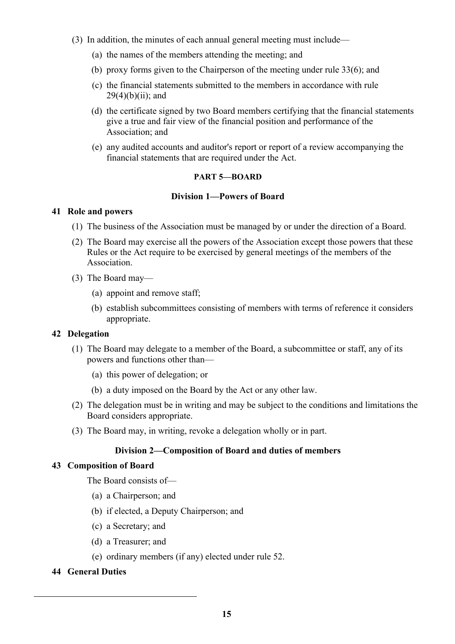- (3) In addition, the minutes of each annual general meeting must include—
	- (a) the names of the members attending the meeting; and
	- (b) proxy forms given to the Chairperson of the meeting under rule 33(6); and
	- (c) the financial statements submitted to the members in accordance with rule  $29(4)(b)(ii)$ ; and
	- (d) the certificate signed by two Board members certifying that the financial statements give a true and fair view of the financial position and performance of the Association; and
	- (e) any audited accounts and auditor's report or report of a review accompanying the financial statements that are required under the Act.

## **PART 5—BOARD**

## **Division 1—Powers of Board**

## **41 Role and powers**

- (1) The business of the Association must be managed by or under the direction of a Board.
- (2) The Board may exercise all the powers of the Association except those powers that these Rules or the Act require to be exercised by general meetings of the members of the Association.
- (3) The Board may—
	- (a) appoint and remove staff;
	- (b) establish subcommittees consisting of members with terms of reference it considers appropriate.

# **42 Delegation**

- (1) The Board may delegate to a member of the Board, a subcommittee or staff, any of its powers and functions other than—
	- (a) this power of delegation; or
	- (b) a duty imposed on the Board by the Act or any other law.
- (2) The delegation must be in writing and may be subject to the conditions and limitations the Board considers appropriate.
- (3) The Board may, in writing, revoke a delegation wholly or in part.

# **Division 2—Composition of Board and duties of members**

# **43 Composition of Board**

The Board consists of—

- (a) a Chairperson; and
- (b) if elected, a Deputy Chairperson; and
- (c) a Secretary; and
- (d) a Treasurer; and
- (e) ordinary members (if any) elected under rule 52.

# **44 General Duties**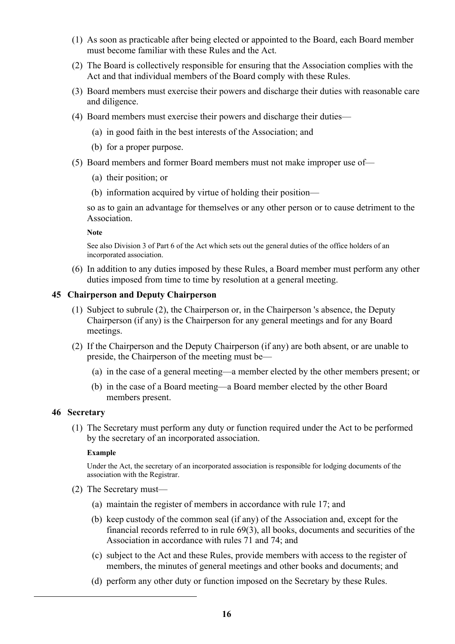- (1) As soon as practicable after being elected or appointed to the Board, each Board member must become familiar with these Rules and the Act.
- (2) The Board is collectively responsible for ensuring that the Association complies with the Act and that individual members of the Board comply with these Rules.
- (3) Board members must exercise their powers and discharge their duties with reasonable care and diligence.
- (4) Board members must exercise their powers and discharge their duties—
	- (a) in good faith in the best interests of the Association; and
	- (b) for a proper purpose.
- (5) Board members and former Board members must not make improper use of—
	- (a) their position; or
	- (b) information acquired by virtue of holding their position—

so as to gain an advantage for themselves or any other person or to cause detriment to the Association.

**Note**

See also Division 3 of Part 6 of the Act which sets out the general duties of the office holders of an incorporated association.

(6) In addition to any duties imposed by these Rules, a Board member must perform any other duties imposed from time to time by resolution at a general meeting.

#### **45 Chairperson and Deputy Chairperson**

- (1) Subject to subrule (2), the Chairperson or, in the Chairperson 's absence, the Deputy Chairperson (if any) is the Chairperson for any general meetings and for any Board meetings.
- (2) If the Chairperson and the Deputy Chairperson (if any) are both absent, or are unable to preside, the Chairperson of the meeting must be—
	- (a) in the case of a general meeting—a member elected by the other members present; or
	- (b) in the case of a Board meeting—a Board member elected by the other Board members present.

#### **46 Secretary**

(1) The Secretary must perform any duty or function required under the Act to be performed by the secretary of an incorporated association.

#### **Example**

Under the Act, the secretary of an incorporated association is responsible for lodging documents of the association with the Registrar.

- (2) The Secretary must—
	- (a) maintain the register of members in accordance with rule 17; and
	- (b) keep custody of the common seal (if any) of the Association and, except for the financial records referred to in rule 69(3), all books, documents and securities of the Association in accordance with rules 71 and 74; and
	- (c) subject to the Act and these Rules, provide members with access to the register of members, the minutes of general meetings and other books and documents; and
	- (d) perform any other duty or function imposed on the Secretary by these Rules.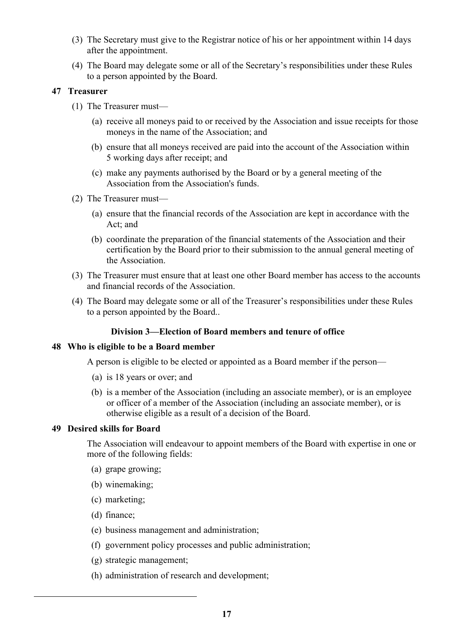- (3) The Secretary must give to the Registrar notice of his or her appointment within 14 days after the appointment.
- (4) The Board may delegate some or all of the Secretary's responsibilities under these Rules to a person appointed by the Board.

#### **47 Treasurer**

- (1) The Treasurer must—
	- (a) receive all moneys paid to or received by the Association and issue receipts for those moneys in the name of the Association; and
	- (b) ensure that all moneys received are paid into the account of the Association within 5 working days after receipt; and
	- (c) make any payments authorised by the Board or by a general meeting of the Association from the Association's funds.
- (2) The Treasurer must—
	- (a) ensure that the financial records of the Association are kept in accordance with the Act; and
	- (b) coordinate the preparation of the financial statements of the Association and their certification by the Board prior to their submission to the annual general meeting of the Association.
- (3) The Treasurer must ensure that at least one other Board member has access to the accounts and financial records of the Association.
- (4) The Board may delegate some or all of the Treasurer's responsibilities under these Rules to a person appointed by the Board..

#### **Division 3—Election of Board members and tenure of office**

#### **48 Who is eligible to be a Board member**

A person is eligible to be elected or appointed as a Board member if the person—

- (a) is 18 years or over; and
- (b) is a member of the Association (including an associate member), or is an employee or officer of a member of the Association (including an associate member), or is otherwise eligible as a result of a decision of the Board.

#### **49 Desired skills for Board**

The Association will endeavour to appoint members of the Board with expertise in one or more of the following fields:

- (a) grape growing;
- (b) winemaking;
- (c) marketing;
- (d) finance;
- (e) business management and administration;
- (f) government policy processes and public administration;
- (g) strategic management;
- (h) administration of research and development;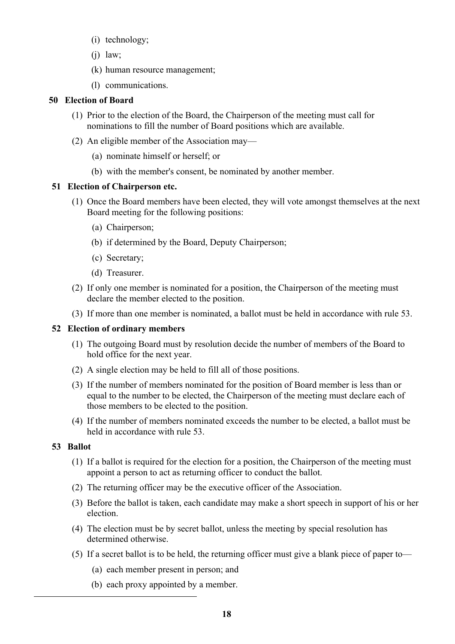- (i) technology;
- $(i)$  law;
- (k) human resource management;
- (l) communications.

# **50 Election of Board**

- (1) Prior to the election of the Board, the Chairperson of the meeting must call for nominations to fill the number of Board positions which are available.
- (2) An eligible member of the Association may—
	- (a) nominate himself or herself; or
	- (b) with the member's consent, be nominated by another member.

## **51 Election of Chairperson etc.**

- (1) Once the Board members have been elected, they will vote amongst themselves at the next Board meeting for the following positions:
	- (a) Chairperson;
	- (b) if determined by the Board, Deputy Chairperson;
	- (c) Secretary;
	- (d) Treasurer.
- (2) If only one member is nominated for a position, the Chairperson of the meeting must declare the member elected to the position.
- (3) If more than one member is nominated, a ballot must be held in accordance with rule 53.

# **52 Election of ordinary members**

- (1) The outgoing Board must by resolution decide the number of members of the Board to hold office for the next year.
- (2) A single election may be held to fill all of those positions.
- (3) If the number of members nominated for the position of Board member is less than or equal to the number to be elected, the Chairperson of the meeting must declare each of those members to be elected to the position.
- (4) If the number of members nominated exceeds the number to be elected, a ballot must be held in accordance with rule 53.

# **53 Ballot**

- (1) If a ballot is required for the election for a position, the Chairperson of the meeting must appoint a person to act as returning officer to conduct the ballot.
- (2) The returning officer may be the executive officer of the Association.
- (3) Before the ballot is taken, each candidate may make a short speech in support of his or her election.
- (4) The election must be by secret ballot, unless the meeting by special resolution has determined otherwise.
- (5) If a secret ballot is to be held, the returning officer must give a blank piece of paper to—
	- (a) each member present in person; and
	- (b) each proxy appointed by a member.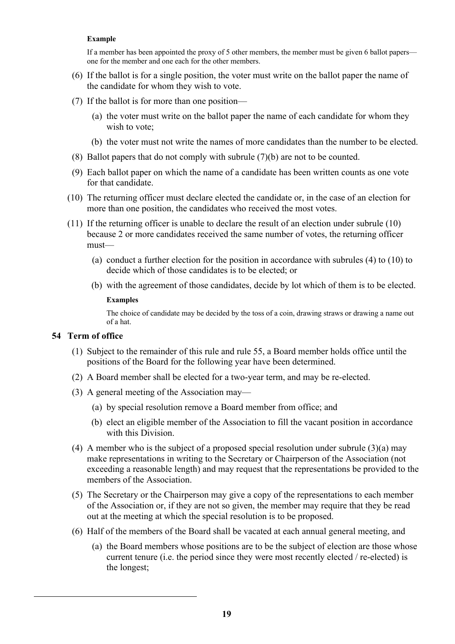#### **Example**

If a member has been appointed the proxy of 5 other members, the member must be given 6 ballot papers one for the member and one each for the other members.

- (6) If the ballot is for a single position, the voter must write on the ballot paper the name of the candidate for whom they wish to vote.
- (7) If the ballot is for more than one position—
	- (a) the voter must write on the ballot paper the name of each candidate for whom they wish to vote;
	- (b) the voter must not write the names of more candidates than the number to be elected.
- (8) Ballot papers that do not comply with subrule (7)(b) are not to be counted.
- (9) Each ballot paper on which the name of a candidate has been written counts as one vote for that candidate.
- (10) The returning officer must declare elected the candidate or, in the case of an election for more than one position, the candidates who received the most votes.
- (11) If the returning officer is unable to declare the result of an election under subrule (10) because 2 or more candidates received the same number of votes, the returning officer must—
	- (a) conduct a further election for the position in accordance with subrules (4) to (10) to decide which of those candidates is to be elected; or
	- (b) with the agreement of those candidates, decide by lot which of them is to be elected. **Examples**

The choice of candidate may be decided by the toss of a coin, drawing straws or drawing a name out of a hat.

### **54 Term of office**

- (1) Subject to the remainder of this rule and rule 55, a Board member holds office until the positions of the Board for the following year have been determined.
- (2) A Board member shall be elected for a two-year term, and may be re-elected.
- (3) A general meeting of the Association may—
	- (a) by special resolution remove a Board member from office; and
	- (b) elect an eligible member of the Association to fill the vacant position in accordance with this Division.
- (4) A member who is the subject of a proposed special resolution under subrule (3)(a) may make representations in writing to the Secretary or Chairperson of the Association (not exceeding a reasonable length) and may request that the representations be provided to the members of the Association.
- (5) The Secretary or the Chairperson may give a copy of the representations to each member of the Association or, if they are not so given, the member may require that they be read out at the meeting at which the special resolution is to be proposed.
- (6) Half of the members of the Board shall be vacated at each annual general meeting, and
	- (a) the Board members whose positions are to be the subject of election are those whose current tenure (i.e. the period since they were most recently elected / re-elected) is the longest;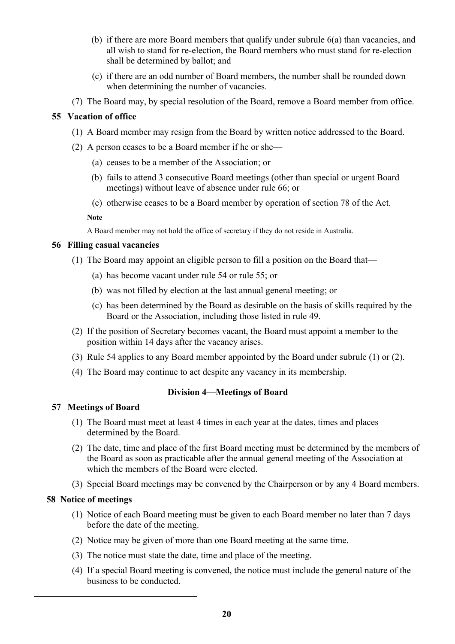- (b) if there are more Board members that qualify under subrule 6(a) than vacancies, and all wish to stand for re-election, the Board members who must stand for re-election shall be determined by ballot; and
- (c) if there are an odd number of Board members, the number shall be rounded down when determining the number of vacancies.
- (7) The Board may, by special resolution of the Board, remove a Board member from office.

# **55 Vacation of office**

- (1) A Board member may resign from the Board by written notice addressed to the Board.
- (2) A person ceases to be a Board member if he or she—
	- (a) ceases to be a member of the Association; or
	- (b) fails to attend 3 consecutive Board meetings (other than special or urgent Board meetings) without leave of absence under rule 66; or
	- (c) otherwise ceases to be a Board member by operation of section 78 of the Act.

**Note**

A Board member may not hold the office of secretary if they do not reside in Australia.

## **56 Filling casual vacancies**

- (1) The Board may appoint an eligible person to fill a position on the Board that—
	- (a) has become vacant under rule 54 or rule 55; or
	- (b) was not filled by election at the last annual general meeting; or
	- (c) has been determined by the Board as desirable on the basis of skills required by the Board or the Association, including those listed in rule 49.
- (2) If the position of Secretary becomes vacant, the Board must appoint a member to the position within 14 days after the vacancy arises.
- (3) Rule 54 applies to any Board member appointed by the Board under subrule (1) or (2).
- (4) The Board may continue to act despite any vacancy in its membership.

# **Division 4—Meetings of Board**

# **57 Meetings of Board**

- (1) The Board must meet at least 4 times in each year at the dates, times and places determined by the Board.
- (2) The date, time and place of the first Board meeting must be determined by the members of the Board as soon as practicable after the annual general meeting of the Association at which the members of the Board were elected.
- (3) Special Board meetings may be convened by the Chairperson or by any 4 Board members.

# **58 Notice of meetings**

- (1) Notice of each Board meeting must be given to each Board member no later than 7 days before the date of the meeting.
- (2) Notice may be given of more than one Board meeting at the same time.
- (3) The notice must state the date, time and place of the meeting.
- (4) If a special Board meeting is convened, the notice must include the general nature of the business to be conducted.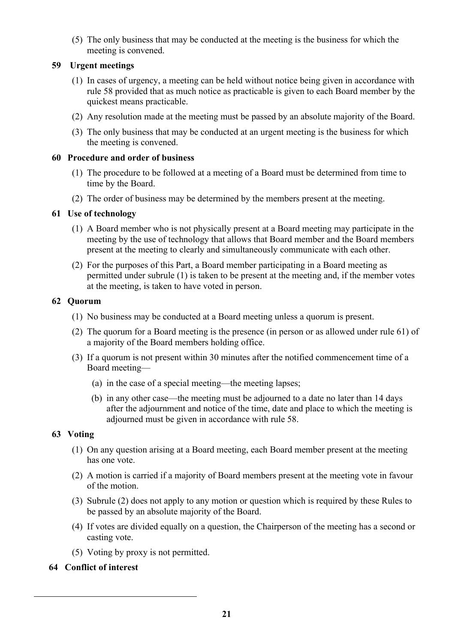(5) The only business that may be conducted at the meeting is the business for which the meeting is convened.

# **59 Urgent meetings**

- (1) In cases of urgency, a meeting can be held without notice being given in accordance with rule 58 provided that as much notice as practicable is given to each Board member by the quickest means practicable.
- (2) Any resolution made at the meeting must be passed by an absolute majority of the Board.
- (3) The only business that may be conducted at an urgent meeting is the business for which the meeting is convened.

### **60 Procedure and order of business**

- (1) The procedure to be followed at a meeting of a Board must be determined from time to time by the Board.
- (2) The order of business may be determined by the members present at the meeting.

## **61 Use of technology**

- (1) A Board member who is not physically present at a Board meeting may participate in the meeting by the use of technology that allows that Board member and the Board members present at the meeting to clearly and simultaneously communicate with each other.
- (2) For the purposes of this Part, a Board member participating in a Board meeting as permitted under subrule (1) is taken to be present at the meeting and, if the member votes at the meeting, is taken to have voted in person.

## **62 Quorum**

- (1) No business may be conducted at a Board meeting unless a quorum is present.
- (2) The quorum for a Board meeting is the presence (in person or as allowed under rule 61) of a majority of the Board members holding office.
- (3) If a quorum is not present within 30 minutes after the notified commencement time of a Board meeting—
	- (a) in the case of a special meeting—the meeting lapses;
	- (b) in any other case—the meeting must be adjourned to a date no later than 14 days after the adjournment and notice of the time, date and place to which the meeting is adjourned must be given in accordance with rule 58.

# **63 Voting**

- (1) On any question arising at a Board meeting, each Board member present at the meeting has one vote.
- (2) A motion is carried if a majority of Board members present at the meeting vote in favour of the motion.
- (3) Subrule (2) does not apply to any motion or question which is required by these Rules to be passed by an absolute majority of the Board.
- (4) If votes are divided equally on a question, the Chairperson of the meeting has a second or casting vote.
- (5) Voting by proxy is not permitted.
- **64 Conflict of interest**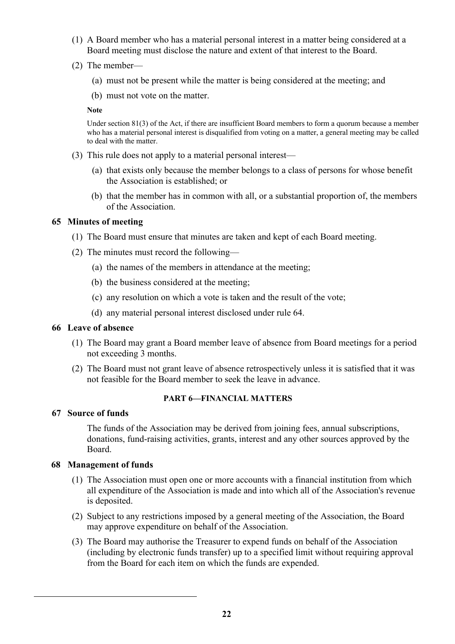- (1) A Board member who has a material personal interest in a matter being considered at a Board meeting must disclose the nature and extent of that interest to the Board.
- (2) The member—
	- (a) must not be present while the matter is being considered at the meeting; and
	- (b) must not vote on the matter.

Under section 81(3) of the Act, if there are insufficient Board members to form a quorum because a member who has a material personal interest is disqualified from voting on a matter, a general meeting may be called to deal with the matter.

- (3) This rule does not apply to a material personal interest—
	- (a) that exists only because the member belongs to a class of persons for whose benefit the Association is established; or
	- (b) that the member has in common with all, or a substantial proportion of, the members of the Association.

### **65 Minutes of meeting**

- (1) The Board must ensure that minutes are taken and kept of each Board meeting.
- (2) The minutes must record the following—
	- (a) the names of the members in attendance at the meeting;
	- (b) the business considered at the meeting;
	- (c) any resolution on which a vote is taken and the result of the vote;
	- (d) any material personal interest disclosed under rule 64.

#### **66 Leave of absence**

- (1) The Board may grant a Board member leave of absence from Board meetings for a period not exceeding 3 months.
- (2) The Board must not grant leave of absence retrospectively unless it is satisfied that it was not feasible for the Board member to seek the leave in advance.

### **PART 6—FINANCIAL MATTERS**

#### **67 Source of funds**

The funds of the Association may be derived from joining fees, annual subscriptions, donations, fund-raising activities, grants, interest and any other sources approved by the Board.

#### **68 Management of funds**

- (1) The Association must open one or more accounts with a financial institution from which all expenditure of the Association is made and into which all of the Association's revenue is deposited.
- (2) Subject to any restrictions imposed by a general meeting of the Association, the Board may approve expenditure on behalf of the Association.
- (3) The Board may authorise the Treasurer to expend funds on behalf of the Association (including by electronic funds transfer) up to a specified limit without requiring approval from the Board for each item on which the funds are expended.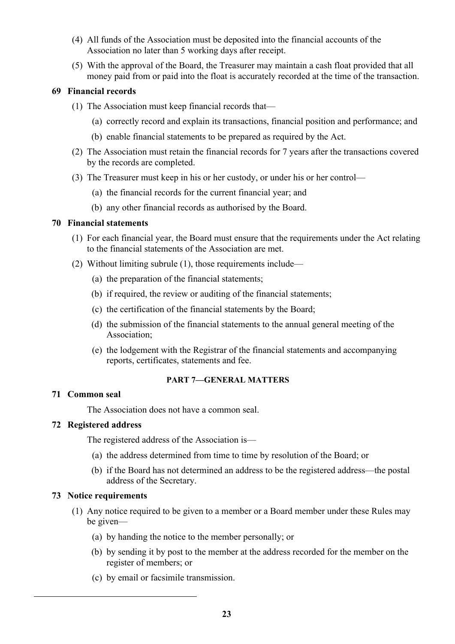- (4) All funds of the Association must be deposited into the financial accounts of the Association no later than 5 working days after receipt.
- (5) With the approval of the Board, the Treasurer may maintain a cash float provided that all money paid from or paid into the float is accurately recorded at the time of the transaction.

### **69 Financial records**

- (1) The Association must keep financial records that—
	- (a) correctly record and explain its transactions, financial position and performance; and
	- (b) enable financial statements to be prepared as required by the Act.
- (2) The Association must retain the financial records for 7 years after the transactions covered by the records are completed.
- (3) The Treasurer must keep in his or her custody, or under his or her control—
	- (a) the financial records for the current financial year; and
	- (b) any other financial records as authorised by the Board.

## **70 Financial statements**

- (1) For each financial year, the Board must ensure that the requirements under the Act relating to the financial statements of the Association are met.
- (2) Without limiting subrule (1), those requirements include—
	- (a) the preparation of the financial statements;
	- (b) if required, the review or auditing of the financial statements;
	- (c) the certification of the financial statements by the Board;
	- (d) the submission of the financial statements to the annual general meeting of the Association;
	- (e) the lodgement with the Registrar of the financial statements and accompanying reports, certificates, statements and fee.

### **PART 7—GENERAL MATTERS**

### **71 Common seal**

The Association does not have a common seal.

### **72 Registered address**

The registered address of the Association is—

- (a) the address determined from time to time by resolution of the Board; or
- (b) if the Board has not determined an address to be the registered address—the postal address of the Secretary.

### **73 Notice requirements**

- (1) Any notice required to be given to a member or a Board member under these Rules may be given—
	- (a) by handing the notice to the member personally; or
	- (b) by sending it by post to the member at the address recorded for the member on the register of members; or
	- (c) by email or facsimile transmission.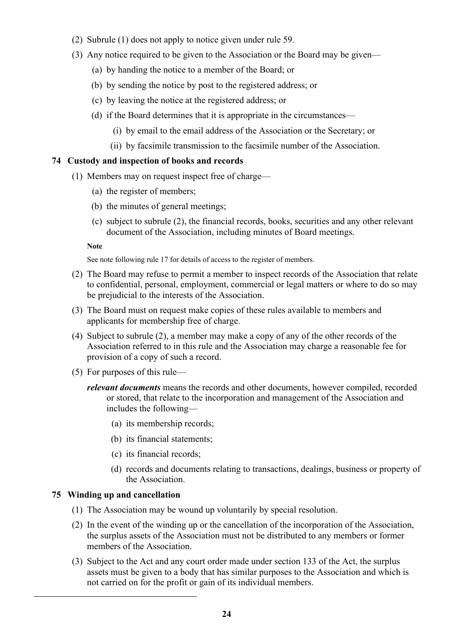- (2) Subrule (1) does not apply to notice given under rule 59.
- (3) Any notice required to be given to the Association or the Board may be given—
	- (a) by handing the notice to a member of the Board; or
	- (b) by sending the notice by post to the registered address; or
	- (c) by leaving the notice at the registered address; or
	- (d) if the Board determines that it is appropriate in the circumstances—
		- (i) by email to the email address of the Association or the Secretary; or
		- (ii) by facsimile transmission to the facsimile number of the Association.

### **74 Custody and inspection of books and records**

- (1) Members may on request inspect free of charge—
	- (a) the register of members;
	- (b) the minutes of general meetings;
	- (c) subject to subrule (2), the financial records, books, securities and any other relevant document of the Association, including minutes of Board meetings.

#### **Note**

See note following rule 17 for details of access to the register of members.

- (2) The Board may refuse to permit a member to inspect records of the Association that relate to confidential, personal, employment, commercial or legal matters or where to do so may be prejudicial to the interests of the Association.
- (3) The Board must on request make copies of these rules available to members and applicants for membership free of charge.
- (4) Subject to subrule (2), a member may make a copy of any of the other records of the Association referred to in this rule and the Association may charge a reasonable fee for provision of a copy of such a record.
- (5) For purposes of this rule
	- *relevant documents* means the records and other documents, however compiled, recorded or stored, that relate to the incorporation and management of the Association and includes the following—
		- (a) its membership records;
		- (b) its financial statements;
		- (c) its financial records;
		- (d) records and documents relating to transactions, dealings, business or property of the Association.

# **75 Winding up and cancellation**

- (1) The Association may be wound up voluntarily by special resolution.
- (2) In the event of the winding up or the cancellation of the incorporation of the Association, the surplus assets of the Association must not be distributed to any members or former members of the Association.
- (3) Subject to the Act and any court order made under section 133 of the Act, the surplus assets must be given to a body that has similar purposes to the Association and which is not carried on for the profit or gain of its individual members.